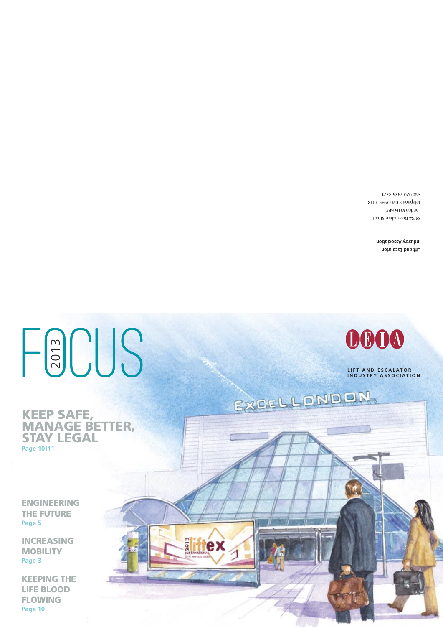# HaUUS



EXCELLONDON,

**LIFT AND ESCALATOR INDUSTRY ASSOCIATION**

#### **KEEP SAFE, MANAGE BETTER, STAY LEGAL Page 10 |11**

**2013** 

**INTERNATIONA** A 3.4 separate the school

rex

**ENGINEERING THE FUTURE Page 5**

**INCREASING MOBILITY Page 3**

**KEEPING THE LIFE BLOOD FLOWING Page 10**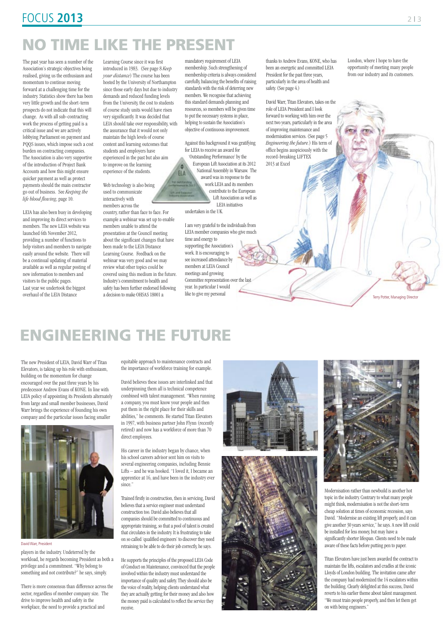London, where I hope to have the opportunity of meeting many people from our industry and its customers.

Terry Potter, Managing Directo

The past year has seen a number of the Association's strategic objectives being realised, giving us the enthusiasm and momentum to continue moving forward at a challenging time for the industry. Statistics show there has been very little growth and the short-term prospects do not indicate that this will change. As with all sub-contracting work the process of getting paid is a critical issue and we are actively lobbying Parliament on payment and PQQS issues, which impose such a cost burden on contracting companies. The Association is also very supportive of the introduction of Project Bank Accounts and how this might ensure quicker payment as well as protect payments should the main contractor go out of business. See *Keeping the life blood flowing*, page 10.

LEIA has also been busy in developing and improving its direct services to members. The new LEIA website was launched 6th November 2012, providing a number of functions to help visitors and members to navigate easily around the website. There will be a continual updating of material available as well as regular posting of new information to members and visitors to the public pages. Last year we undertook the biggest overhaul of the LEIA Distance

Learning Course since it was first introduced in 1983. (See page 8 *Keep your distance*) The course has been hosted by the University of Northampton since those early days but due to industry demands and reduced funding levels from the University, the cost to students of course study units would have risen very significantly. It was decided that LEIA should take over responsibility, with the assurance that it would not only maintain the high levels of course content and learning outcomes that students and employers have experienced in the past but also aim to improve on the learning experience of the students. ELA

mandatory requirement of LEIA membership. Such strengthening of membership criteria is always considered carefully, balancing the benefits of raising standards with the risk of deterring new members. We recognise that achieving this standard demands planning and resources, so members will be given time to put the necessary systems in place, helping to sustain the Association's objective of continuous improvement.

Web technology is also being used to communicate interactively with members across the

Against this background it was gratifying for LEIA to receive an award for 'Outstanding Performance' by the European Lift Association at its 2012

National Assembly in Warsaw. The award was in response to the work LEIA and its members contribute to the European Lift Association as well as LEIA initiatives

undertaken in the UK.

I am very grateful to the individuals from LEIA member companies who give much time and energy to supporting the Association's work. It is encouraging to see increased attendance by members at LEIA Council meetings and growing Committee representation over the last year. In particular I would like to give my personal

country, rather than face to face. For example a webinar was set up to enable members unable to attend the presentation at the Council meeting about the significant changes that have been made to the LEIA Distance Learning Course. Feedback on the webinar was very good and we may review what other topics could be covered using this medium in the future. Industry's commitment to health and safety has been further endorsed following a decision to make OHSAS 18001 a

thanks to Andrew Evans, KONE, who has been an energetic and committed LEIA President for the past three years, particularly in the area of health and safety. (See page 4.)

David Warr, Titan Elevators, takes on the role of LEIA President and I look forward to working with him over the next two years, particularly in the area of improving maintenance and modernisation services. (See page 5 *Engineering the future.*) His term of office begins auspiciously with the record-breaking LIFTEX 2013 at Excel

## **FOCUS 2013** 213

# **NO TIME LIKE THE PRESENT**

The new President of LEIA, David Warr of Titan Elevators, is taking up his role with enthusiasm, building on the momentum for change encouraged over the past three years by his predecessor Andrew Evans of KONE. In line with LEIA policy of appointing its Presidents alternately from large and small member businesses, David Warr brings the experience of founding his own company and the particular issues facing smaller



equitable approach to maintenance contracts and the importance of workforce training for example.

David believes these issues are interlinked and that underpinning them all is technical competence combined with talent management. "When running a company, you must know your people and then put them in the right place for their skills and abilities," he comments. He started Titan Elevators in 1997, with business partner John Flynn (recently retired) and now has a workforce of more than 70 direct employees.

His career in the industry began by chance, when his school careers advisor sent him on visits to several engineering companies, including Bennie Lifts – and he was hooked. "I loved it, I became an







apprentice at 16, and have been in the industry ever since."

Trained firstly in construction, then in servicing, David believes that a service engineer must understand construction too. David also believes that all companies should be committed to continuous and appropriate training, so that a pool of talent is created that circulates in the industry. It is frustrating to take on so called 'qualified engineers' to discover they need retraining to be able to do their job correctly, he says.

He supports the principles of the proposed LEIA Code of Conduct on Maintenance, convinced that the people involved within the industry must understand the importance of quality and safety. They should also be the voice of reality, helping clients understand what they are actually getting for their money and also how the money paid is calculated to reflect the service they receive.



Modernisation rather than newbuild is another hot topic in the industry. Contrary to what many people might think, modernisation is not the short-term cheap solution at times of economic recession, says David. "Modernise an existing lift properly, and it can give another 30 years service," he says. A new lift could be installed for less money, but may have a significantly shorter lifespan. Clients need to be made aware of these facts before putting pen to paper.

Titan Elevators have just been awarded the contract to maintain the lifts, escalators and cradles at the iconic Lloyds of London building. The invitation came after the company had modernized the 14 escalators within the building. Clearly delighted at this success, David reverts to his earlier theme about talent management. "We must train people properly, and then let them get on with being engineers."

## **ENGINEERING THE FUTURE**

David Warr, President

players in the industry. Undeterred by the workload, he regards becoming President as both a privilege and a commitment. "Why belong to something and not contribute?" he says, simply.

There is more consensus than difference across the sector, regardless of member company size. The drive to improve health and safety in the workplace, the need to provide a practical and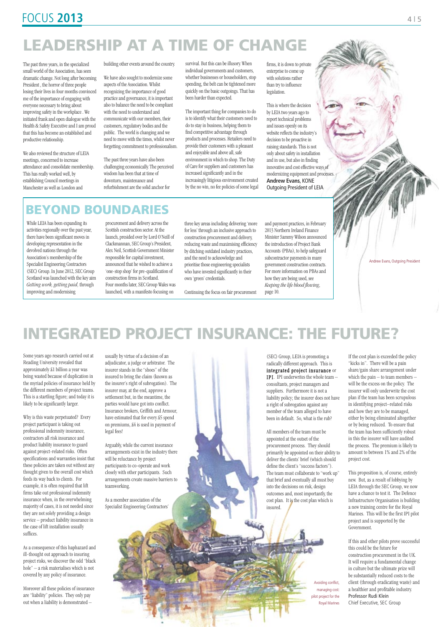The past three years, in the specialized small world of the Association, has seen dramatic change. Not long after becoming President , the horror of three people losing their lives in four months convinced me of the importance of engaging with everyone necessary to bring about improving safety in the workplace . We initiated frank and open dialogue with the Health & Safety Executive and I am proud that this has become an established and productive relationship.

We also reviewed the structure of LEIA meetings, concerned to increase attendance and consolidate membership. This has really worked well, by establishing Council meetings in Manchester as well as London and

building other events around the country.

We have also sought to modernize some aspects of the Association. Whilst recognizing the importance of good practice and governance, it is important also to balance the need to be compliant with the need to understand and communicate with our members, their customers, regulatory bodies and the public. The world is changing and we need to move with the times, whilst never forgetting commitment to professionalism.

The past three years have also been challenging economically. The perceived wisdom has been that at time of downturn, maintenance and refurbishment are the solid anchor for

survival. But this can be illusory. When individual governments and customers, whether businesses or householders, stop spending, the belt can be tightened more quickly on the basic outgoings. That has been harder than expected.

The important thing for companies to do is to identify what their customers need to do to stay in business, helping them to find competitive advantage through products and processes. Retailers need to provide their customers with a pleasant and enjoyable and above all, safe environment in which to shop. The Duty of Care for suppliers and customers has increased significantly and in the increasingly litigious environment created by the no win, no fee policies of some legal

Andrew Evans, Outgoing President

## **FOCUS 2013** 4 | 5

## **LEADERSHIP AT A TIME OF CHANGE**

While LEIA has been expanding its activities regionally over the past year, there have been significant moves in developing representation in the devolved nations through the Association's membership of the Specialist Engineering Contractors (SEC) Group. In June 2012, SEC Group Scotland was launched with the key aim *Getting work, getting paid,* through improving and modernising

## **BEYOND BOUNDARIES**

firms, it is down to private enterprise to come up with solutions rather than try to influence legislation.

This is where the decision by LEIA two years ago to report technical problems and issues openly on its website reflects the industry's decision to be proactive in raising standards. This is not only about safety in installation and in use, but also in finding innovative and cost effective ways of modernizing equipment and processes. **Andrew Evans**, KONE Outgoing President of LEIA

procurement and delivery across the Scottish construction sector. At the launch, presided over by Lord O'Neill of Clackmannan, SEC Group's President, Alex Neil, Scottish Government Minister responsible for capital investment, announced that he wished to achieve a 'one-stop shop' for pre-qualification of construction firms in Scotland. Four months later, SEC Group Wales was launched, with a manifesto focusing on

three key areas including delivering 'more for less' through an inclusive approach to construction procurement and delivery, reducing waste and maximising efficiency by ditching outdated industry practices, and the need to acknowledge and prioritise those engineering specialists who have invested significantly in their own 'green' credentials.

Continuing the focus on fair procurement

and payment practices, in February 2013 Northern Ireland Finance Minister Sammy Wilson announced the introduction of Project Bank Accounts (PBAs), to help safeguard subcontractor payments in many government construction contracts. For more information on PBAs and how they are being used, see *Keeping the life blood flowing*, page 10.

Some years ago research carried out at Reading University revealed that approximately £1 billion a year was being wasted because of duplication in the myriad policies of insurance held by the different members of project teams. This is a startling figure; and today it is likely to be significantly larger.

Why is this waste perpetuated? Every project participant is taking out professional indemnity insurance, contractors all risk insurance and product liability insurance to guard against project-related risks. Often specifications and warranties insist that these policies are taken out without any thought given to the overall cost which feeds its way back to clients. For example, it is often required that lift firms take out professional indemnity insurance when, in the overwhelming majority of cases, it is not needed since they are not solely providing a design service – product liability insurance in the case of lift installation usually suffices.

As a consequence of this haphazard and ill-thought out approach to insuring project risks, we discover the odd "black hole" – a risk materialises which is not covered by any policy of insurance.

Moreover all these policies of insurance are "liability" policies. They only pay out when a liability is demonstrated –

usually by virtue of a decision of an adjudicator, a judge or arbitrator. The insurer stands in the "shoes" of the insured to bring the claim (known as the insurer's right of subrogation). The insurer may, at the end, approve a settlement but, in the meantime, the parties would have got into conflict. Insurance brokers, Griffith and Armour, have estimated that for every £5 spend on premiums, £4 is used in payment of legal fees!

Arguably, while the current insurance arrangements exist in the industry there will be reluctance by project participants to co-operate and work closely with other participants. Such arrangements create massive barriers to teamworking.



As a member association of the Specialist Engineering Contractors'

If the cost plan is exceeded the policy "kicks in". There will be a pain share/gain share arrangement under which the pain – to team members – will be the excess on the policy. The insurer will only underwrite the cost plan if the team has been scrupulous in identifying project–related risks and how they are to be managed, either by being eliminated altogether or by being reduced. To ensure that the team has been sufficiently robust in this the insurer will have audited the process. The premium is likely to amount to between 1% and 2% of the project cost.

This proposition is, of course, entirely new. But, as a result of lobbying by LEIA through the SEC Group, we now have a chance to test it. The Defence Infrastructure Organisation is building a new training centre for the Royal Marines. This will be the first IPI pilot project and is supported by the Government.

If this and other pilots prove successful this could be the future for construction procurement in the UK. It will require a fundamental change in culture but the ultimate prize will be substantially reduced costs to the client (through eradicating waste) and a healthier and profitable industry. Professor Rudi Klein Chief Executive, SEC Group

## **INTEGRATED PROJECT INSURANCE: THE FUTURE?**

(SEC) Group, LEIA is promoting a radically different approach. This is integrated project insurance or IPI. IPI underwrites the whole team – consultants, project managers and suppliers. Furthermore it is not a liability policy; the insurer does not have a right of subrogation against any member of the team alleged to have been in default. So, what is the rub?

All members of the team must be appointed at the outset of the procurement process. They should primarily be appointed on their ability to deliver the clients' brief (which should define the client's "success factors"). The team must collaborate to "work up" that brief and eventually all must buy into the decisions on risk, design outcomes and, most importantly, the cost plan. It is the cost plan which is insured.

> Avoiding conflict, managing cost: pilot project for the Royal Marines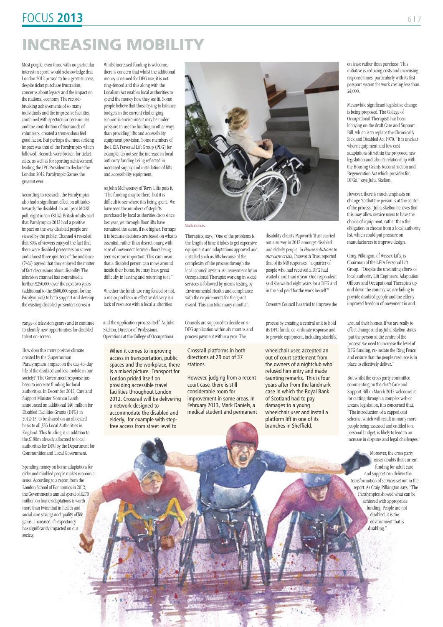Crossrail platforms in both directions at 29 out of 37 stations.

However, judging from a recent court case, there is still considerable room for improvement in some areas. In February 2013, Mark Daniels, a medical student and permanent

When it comes to improving access in transportation, public spaces and the workplace, there is a mixed picture. Transport for London prided itself on providing accessible travel facilities throughout London 2012. Crossrail will be delivering a network designed to



## **FOCUS 2013** 6 | 7

## **INCREASING MOBILITY**

Most people, even those with no particular interest in sport, would acknowledge that London 2012 proved to be a great success, despite ticket purchase frustration, concerns about legacy and the impact on the national economy. The recordbreaking achievements of so many individuals and the impressive facilities, combined with spectacular ceremonies and the contribution of thousands of volunteers, created a tremendous feel good factor. But perhaps the most striking impact was that of the Paralympics which followed. Records were broken for ticket sales, as well as for sporting achievement, leading the IPC President to declare the London 2012 Paralympic Games the greatest ever.

According to research, the Paralympics also had a significant effect on attitudes towards the disabled. In an Ipsos MORI poll, eight in ten (81%) British adults said that Paralympics 2012 had a positive impact on the way disabled people are viewed by the public. Channel 4 revealed that 80% of viewers enjoyed the fact that there were disabled presenters on screen and almost three quarters of the audience (74%) agreed that they enjoyed the matter of fact discussions about disability. The television channel has committed a further £250,000 over the next two years (additional to the £600,000 spent for the Paralympics) to both support and develop the existing disabled presenters across a

Whilst increased funding is welcome, there is concern that whilst the additional money is named for DFG use, it is not ring-fenced and this along with the Localism Act enables local authorities to spend the money how they see fit. Some people believe that those trying to balance budgets in the current challenging economic environment may be under pressure to use the funding in other ways than providing lifts and accessibility equipment provision. Some members of the LEIA Personal Lift Group (PLG) for example, do not see the increase in local authority funding being reflected in increased supply and installation of lifts and accessibility equipment.

As John McSweeney of Terry Lifts puts it, "The funding may be there, but it is difficult to see where it is being spent. We have seen the numbers of steplifts purchased by local authorities drop since last year, yet through floor lifts have remained the same, if not higher. Perhaps it is because decisions are based on what is essential, rather than discretionary, with ease of movement between floors being seen as more important. This can mean that a disabled person can move around inside their home, but may have great difficulty in leaving and returning to it."

Whether the funds are ring fenced or not, a major problem in effective delivery is a lack of resource within local authorities

complexity of the process through the local council system. An assessment by an Occupational Therapist working in social services is followed by means testing by Environmental Health and compliance with the requirements for the grant award. This can take many months".

> Moreover, the cross party raises doubts that current funding for adult care and support can deliver the transformation of services set out in the report. As Craig Pilkington says, "The Paralympics showed what can be achieved with appropriate funding. People are not disabled, it is the environment that is disabling."

disability charity Papworth Trust carried out a survey in 2012 amongst disabled and elderly people. In *Home solutions to our care crisis*, Papworth Trust reported that of its 640 responses, "a quarter of people who had received a DFG had waited more than a year. One respondent said she waited eight years for a DFG and in the end paid for the work herself."

Coventry Council has tried to improve the

range of television genres and to continue to identify new opportunities for disabled talent on-screen.

How does this more positive climate created by the 'Superhuman Paralympians' impact on the day-to-day life of the disabled and less mobile in our society? The Government response has been to increase funding for local authorities. In December 2012, Care and Support Minister Norman Lamb announced an additional £40 million for Disabled Facilities Grants (DFG) in 2012/13, to be shared on an allocated basis to all 326 Local Authorities in England. This funding is in addition to the £180m already allocated to local authorities for DFG by the Department for Communities and Local Government.

Spending money on home adaptations for older and disabled people makes economic sense. According to a report from the London School of Economics in 2012, the Government's annual spend of £270 million on home adaptations is worth more than twice that in health and social care savings and quality of life gains. Increased life expectancy has significantly impacted on our society.

and the application process itself. As Julia Skelton, Director of Professional Operations at the College of Occupational

Councils are supposed to decide on a DFG application within six months and process payment within a year. The

process by creating a central unit to hold its DFG funds, co-ordinate response and to provide equipment, including stairlifts, on lease rather than purchase. This initiative is reducing costs and increasing response times, particularly with its fast passport system for work costing less than £4,000.



Meanwhile significant legislative change is being proposed. The College of Occupational Therapists has been lobbying on the draft Care and Support Bill, which is to replace the Chronically Sick and Disabled Act 1970. "It is unclear where equipment and low cost adaptations sit within the proposed new legislation and also its relationship with the Housing Grants Reconstruction and Regeneration Act which provides for DFGs," says Julia Skelton.

However, there is much emphasis on change 'so that the person is at the centre of the process.' Julia Skelton believes that this may allow service users to have the choice of equipment, rather than the obligation to choose from a local authority list, which could put pressure on manufacturers to improve design.

Craig Pilkingon, of Wessex Lifts, is Chairman of the LEIA Personal Lift Group. "Despite the unstinting efforts of local authority Lift Engineers, Adaptation Officers and Occupational Therapists up and down the country, we are failing to provide disabled people and the elderly improved freedom of movement in and

around their homes. If we are really to effect change and as Julia Skelton states 'put the person at the centre of the process' we need to increase the level of DFG funding, re-instate the Ring Fence and ensure that the people resource is in place to effectively deliver."

But whilst the cross party committee commenting on the draft Care and Support Bill in March 2012 welcomes it for cutting through a complex web of arcane legislation, it is concerned that, "The introduction of a capped cost scheme, which will result in many more people being assessed and entitled to a personal budget, is likely to lead to an increase in disputes and legal challenges."

wheelchair user, accepted an out of court settlement from the owners of a nightclub who refused him entry and made taunting remarks. This is four years after from the landmark case in which the Royal Bank of Scotland had to pay damages to a young wheelchair user and install a platform lift in one of its branches in Sheffield.

 $(0.1)$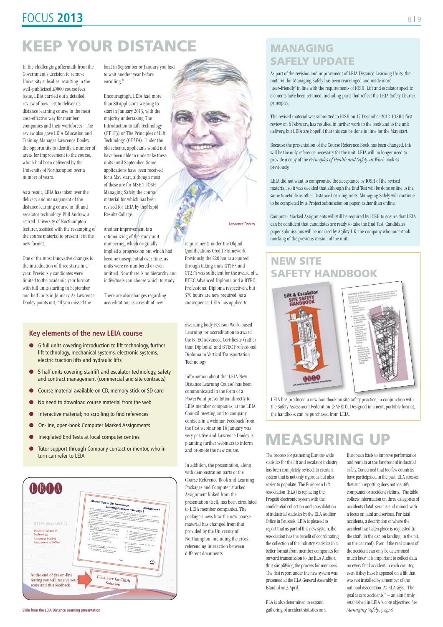Slide from the LEIA Distance Learning presentation

#### **Key elements of the new LEIA course**

- 6 full units covering introduction to lift technology, further lift technology, mechanical systems, electronic systems, electric traction lifts and hydraulic lifts
- 5 half units covering stairlift and escalator technology, safety and contract management (commercial and site contracts)
- l Course material available on CD, memory stick or SD card
- l No need to download course material from the web
- Interactive material; no scrolling to find references
- On-line, open-book Computer Marked Assignments
- l Invigilated End Tests at local computer centres
- **Tutor support through Company contact or mentor, who in** turn can refer to LEIA

#### **MANAGING SAFELY UPDATE**

As part of the revision and improvement of LEIA Distance Learning Units, the material for Managing Safely has been rearranged and made more 'user*‐*friendly' in line with the requirements of IOSH. Lift and escalator specific elements have been retained, including parts that reflect the LEIA Safety Charter principles.

The revised material was submitted to IOSH on 17 December 2012. IOSH's first review on 6 February, has resulted in further work to the book and to the unit delivery, but LEIA are hopeful that this can be done in time for the May start.

Because the presentation of the Course Reference Book has been changed, this will be the only reference necessary for the unit. LEIA will no longer need to provide a copy of the *Principles of Health and Safety at Work*book as previously.

LEIA did not want to compromise the acceptance by IOSH of the revised material, so it was decided that although the End Test will be done online to the same timetable as other Distance Learning units, Managing Safely will continue to be completed by a Project submission on paper, rather than online.

Computer Marked Assignments will still be required by IOSH to ensure that LEIA can be confident that candidates are ready to take the End Test. Candidates' paper submissions will be marked by Agility UK, the company who undertook marking of the previous version of the unit.

#### **NEW SITE SAFETY HANDBOOK**



LEIA has produced a new handbook on site safety practice, in conjunction with the Safety Assessment Federation (SAFED). Designed in a neat, portable format, the handbook can be purchased from LEIA.

The process for gathering Europe-wide statistics for the lift and escalator industry has been completely revised, to create a

system that is not only rigorous but also easier to populate. The European Lift Association (ELA) is replacing the Progetti electronic system with the confidential collection and consolidation of industrial statistics by the ELA Auditor Office in Brussels. LEIA is pleased to report that as part of this new system, the Association has the benefit of coordinating the collection of the industry statistics in a better format from member companies for onward transmission to the ELA Auditor, thus simplifying the process for members. The first report under the new system was presented at the ELA General Assembly in Istanbul on 3 April.

ELA is also determined to expand gathering of accident statistics on a

European basis to improve performance and remain at the forefront of industrial safety. Concerned that too few countries



have participated in the past, ELA stresses that such reporting does not identify companies or accident victims. The table collects information on three categories of accidents (fatal, serious and minor) with a focus on fatal and serious. For fatal accidents, a description of where the accident has taken place is requested (in the shaft, in the car, on landing, in the pit, on the car roof). Even if the real causes of the accident can only be determined much later, it is important to collect data on every fatal accident in each country, even if they have happened on a lift that was not installed by a member of the national association. As ELA says, "The goal is zero accidents," – an aim firmly established in LEIA 's core objectives. See *Managing Safely*, page 8.

## **MEASURING UP**

In the challenging aftermath from the Government's decision to remove University subsidies, resulting in the well-publicised £9000 course fees issue, LEIA carried out a detailed review of how best to deliver its distance learning course in the most cost-effective way for member companies and their workforces. The review also gave LEIA Education and Training Manager Lawrence Dooley the opportunity to identify a number of areas for improvement to the course, which had been delivered by the University of Northampton over a number of years.

As a result, LEIA has taken over the delivery and management of the distance learning course in lift and escalator technology. Phil Andrew, a retired University of Northampton lecturer, assisted with the revamping of the course material to present it in the new format.

One of the most innovative changes is the introduction of three starts in a year. Previously candidates were limited to the academic year format, with full units starting in September and half units in January. As Lawrence Dooley points out, "If you missed the

boat in September or January you had to wait another year before enrolling."

Encouragingly, LEIA had more than 80 applicants wishing to start in January 2013, with the majority undertaking The Introduction to Lift Technology (GT1F3) or The Principles of Lift Technology (GT2F4). Under the old scheme, applicants would not have been able to undertake these units until September. Some applications have been received for a May start, although most of these are for MSH4 IOSH Managing Safely, the course material for which has been revised for LEIA by the Rapid Results College.

Another improvement is a rationalizing of the study unit numbering, which originally implied a progression but which had become unsequential over time, as units were re-numbered or even omitted. Now there is no hierarchy and individuals can choose which to study.

There are also changes regarding accreditation, as a result of new

requirements under the Ofqual

Qualifications Credit Framework. Previously, the 220 hours acquired through taking units GT1F3 and GT2F4 was sufficient for the award of a BTEC Advanced Diploma and a BTEC Professional Diploma respectively, but 370 hours are now required. As a consequence, LEIA has applied to

Lawrence Dooley

## **FOCUS 2013** 8 | 9

# **KEEP YOUR DISTANCE**

awarding body Pearson Work-based Learning for accreditation to award the BTEC Advanced Certificate (rather than Diploma) and BTEC Professional Diploma in Vertical Transportation Technology.

Information about the 'LEIA New Distance Learning Course' has been communicated in the form of a PowerPoint presentation directly to LEIA member companies, at the LEIA Council meeting and to company contacts in a webinar. Feedback from the first webinar on 16 January was very positive and Lawrence Dooley is planning further webinars to inform and promote the new course.

In addition, the presentation, along with demonstration parts of the Course Reference Book and Learning Packages and Computer Marked Assignment linked from the presentation itself, has been circulated to LEIA member companies. The package shows how the new course material has changed from that provided by the University of Northampton, including the crossreferencing interaction between different documents.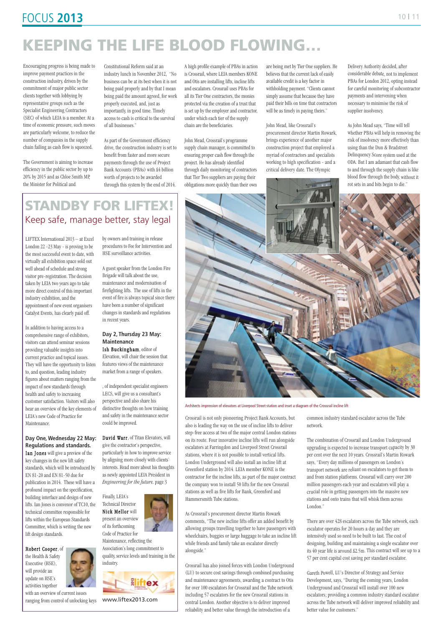## FOCUS **2013**

Encouraging progress is being made to improve payment practices in the construction industry, driven by the commitment of major public sector clients together with lobbying by representative groups such as the Specialist Engineering Contractors (SEC) of which LEIA is a member. At a time of economic pressure, such moves are particularly welcome, to reduce the number of companies in the supply chain failing as cash flow is squeezed.

The Government is aiming to increase efficiency in the public sector by up to 20% by 2015 and as Chloe Smith MP, the Minister for Political and

Constitutional Reform said at an industry lunch in November 2012, "No business can be at its best when it is not being paid properly and by that I mean being paid the amount agreed, for work properly executed, and, just as importantly, in good time. Timely access to cash is critical to the survival of all businesses."

As part of the Government efficiency drive, the construction industry is set to benefit from faster and more secure payments through the use of Project Bank Accounts (PBAs) with £4 billion worth of projects to be awarded through this system by the end of 2014.

A high profile example of PBAs in action is Crossrail, where LEIA members KONE and Otis are installing lifts, incline lifts and escalators. Crossrail uses PBAs for all its Tier One contractors, the monies protected via the creation of a trust that is set up by the employer and contractor, under which each tier of the supply chain are the beneficiaries.

John Mead, Crossrail's programme supply chain manager, is committed to ensuring proper cash flow through the project. He has already identified through daily monitoring of contractors that Tier Two suppliers are paying their obligations more quickly than their own

# **KEEPING THE LIFE BLOOD FLOWING…**

Crossrail is not only pioneering Project Bank Accounts, but also is leading the way on the use of incline lifts to deliver step-free access at two of the major central London stations on its route. Four innovative incline lifts will run alongside escalators at Farringdon and Liverpool Street Crossrail stations, where it is not possible to install vertical lifts. London Underground will also install an incline lift at Greenford station by 2014. LEIA member KONE is the

contractor for the incline lifts, as part of the major contract the company won to install 50 lifts for the new Crossrail stations as well as five lifts for Bank, Greenford and Hammersmith Tube stations.

As Crossrail's procurement director Martin Rowark comments, "The new incline lifts offer an added benefit by allowing groups travelling together to have passengers with wheelchairs, buggies or large baggage to take an incline lift while friends and family take an escalator directly alongside."

Crossrail has also joined forces with London Underground (LU) to secure cost savings through combined purchasing and maintenance agreements, awarding a contract to Otis for over 100 escalators for Crossrail and the Tube network including 57 escalators for the new Crossrail stations in central London. Another objective is to deliver improved reliability and better value through the introduction of a

common industry standard escalator across the Tube network.

The combination of Crossrail and London Underground upgrading is expected to increase transport capacity by 30 per cent over the next 10 years. Crossrail's Martin Rowark says, "Every day millions of passengers on London's transport network are reliant on escalators to get them to and from station platforms. Crossrail will carry over 200 million passengers each year and escalators will play a crucial role in getting passengers into the massive new stations and onto trains that will whisk them across London."

There are over 428 escalators across the Tube network, each escalator operates for 20 hours a day and they are intensively used so need to be built to last. The cost of designing, building and maintaining a single escalator over its 40 year life is around £2.5m. This contract will see up to a 57 per cent capital cost saving per standard escalator.

Gareth Powell, LU's Director of Strategy and Service Development, says, "During the coming years, London Underground and Crossrail will install over 100 new escalators; providing a common industry standard escalator across the Tube network will deliver improved reliability and better value for customers."

are being met by Tier One suppliers. He believes that the current lack of easily available credit is a key factor in withholding payment. "Clients cannot simply assume that because they have paid their bills on time that contractors will be as timely in paying theirs."

John Mead, like Crossrail's procurement director Martin Rowark, brings experience of another major construction project that employed a myriad of contractors and specialists working to high specification - and a critical delivery date. The Olympic

Delivery Authority decided, after considerable debate, not to implement PBAs for London 2012, opting instead for careful monitoring of subcontractor payments and intervening when necessary to minimise the risk of supplier insolvency.

As John Mead says, "Time will tell whether PBAs will help in removing the risk of insolvency more effectively than using than the Dun & Bradstreet Delinquency Score system used at the ODA. But I am adamant that cash flow to and through the supply chain is like blood flow through the body, without it rot sets in and bits begin to die."

LIFTEX International 2013 – at Excel London 22 -23 May - is proving to be the most successful event to date, with virtually all exhibition space sold out well ahead of schedule and strong visitor pre-registration. The decision taken by LEIA two years ago to take more direct control of this important industry exhibition, and the appointment of new event organisers Catalyst Events, has clearly paid off.

In addition to having access to a comprehensive range of exhibitors, visitors can attend seminar sessions providing valuable insights into current practice and topical issues. They will have the opportunity to listen to, and question, leading industry figures about matters ranging from the impact of new standards through health and safety to increasing customer satisfaction. Visitors will also hear an overview of the key elements of LEIA's new Code of Practice for Maintenance.

**Day One, Wednesday 22 May: Regulations and standards.**

Ian Jones will give a preview of the key changes in the new lift safety standards, which will be introduced by

EN 81-20 and EN 81-50 due for publication in 2014. These will have a profound impact on the specification, building interface and design of new lifts. Ian Jones is convenor of TC10, the technical committee responsible for lifts within the European Standards Committee, which is writing the new lift design standards.

Robert Cooper, of the Health & Safety Executive (HSE), will provide an update on HSE's activities together with an overview of current issues ranging from control of unlocking keys

#### **STANDBY FOR LIFTEX!** Keep safe, manage better, stay legal

by owners and training in release procedures to Fee for Intervention and HSE surveillance activities.

A guest speaker from the London Fire Brigade will talk about the use, maintenance and modernisation of firefighting lifts. The use of lifts in the event of fire is always topical since there have been a number of significant changes in standards and regulations in recent years.

#### **Day 2, Thursday 23 May: Maintenance**

Ish Buckingham, editor of Elevation, will chair the session that features views of the maintenance market from a range of speakers.

 , of independent specialist engineers LECS, will give us a consultant's perspective and also share his distinctive thoughts on how training and safety in the maintenance sector could be improved.

David Warr, of Titan Elevators, will give the contractor's perspective, particularly in how to improve service by aligning more closely with clients' interests. Read more about his thoughts

as newly appointed LEIA President in *Engineering for the futur*e. page 3

> Finally, LEIA's Technical Director Nick Mellor will present an overview of its forthcoming Code of Practice for

Maintenance, reflecting the Association's long commitment to quality, service levels and training in the industry.



#### www.liftex2013.com



Architects impression of elevators at Liverpool Street station and inset a diagram of the Crossrail incline lift